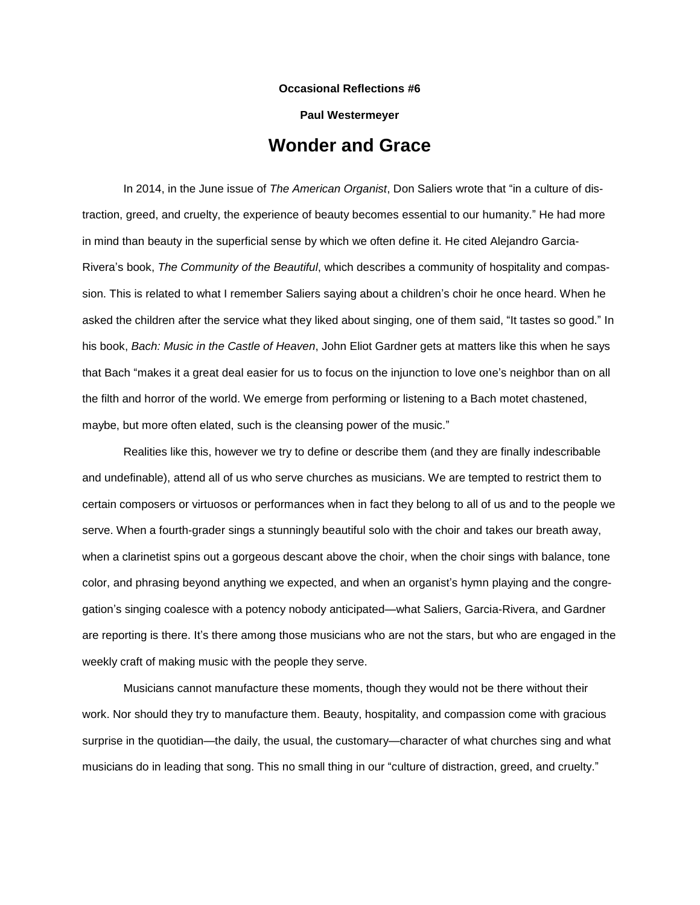## **Occasional Reflections #6**

**Paul Westermeyer**

## **Wonder and Grace**

In 2014, in the June issue of *The American Organist*, Don Saliers wrote that "in a culture of distraction, greed, and cruelty, the experience of beauty becomes essential to our humanity." He had more in mind than beauty in the superficial sense by which we often define it. He cited Alejandro Garcia-Rivera's book, *The Community of the Beautiful*, which describes a community of hospitality and compassion. This is related to what I remember Saliers saying about a children's choir he once heard. When he asked the children after the service what they liked about singing, one of them said, "It tastes so good." In his book, *Bach: Music in the Castle of Heaven*, John Eliot Gardner gets at matters like this when he says that Bach "makes it a great deal easier for us to focus on the injunction to love one's neighbor than on all the filth and horror of the world. We emerge from performing or listening to a Bach motet chastened, maybe, but more often elated, such is the cleansing power of the music."

Realities like this, however we try to define or describe them (and they are finally indescribable and undefinable), attend all of us who serve churches as musicians. We are tempted to restrict them to certain composers or virtuosos or performances when in fact they belong to all of us and to the people we serve. When a fourth-grader sings a stunningly beautiful solo with the choir and takes our breath away, when a clarinetist spins out a gorgeous descant above the choir, when the choir sings with balance, tone color, and phrasing beyond anything we expected, and when an organist's hymn playing and the congregation's singing coalesce with a potency nobody anticipated—what Saliers, Garcia-Rivera, and Gardner are reporting is there. It's there among those musicians who are not the stars, but who are engaged in the weekly craft of making music with the people they serve.

Musicians cannot manufacture these moments, though they would not be there without their work. Nor should they try to manufacture them. Beauty, hospitality, and compassion come with gracious surprise in the quotidian—the daily, the usual, the customary—character of what churches sing and what musicians do in leading that song. This no small thing in our "culture of distraction, greed, and cruelty."